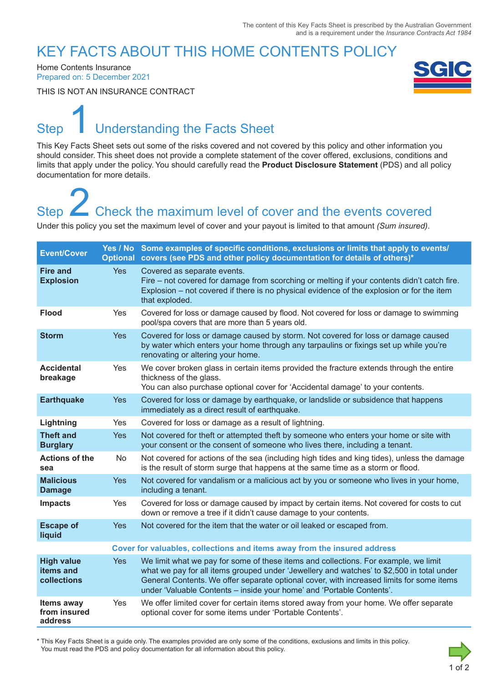### KEY FACTS ABOUT THIS HOME CONTENTS POLICY

Home Contents Insurance Prepared on: 5 December 2021

THIS IS NOT AN INSURANCE CONTRACT



# Step **Understanding the Facts Sheet** 1

This Key Facts Sheet sets out some of the risks covered and not covered by this policy and other information you should consider. This sheet does not provide a complete statement of the cover offered, exclusions, conditions and limits that apply under the policy. You should carefully read the **Product Disclosure Statement** (PDS) and all policy documentation for more details.

# Step **Check the maximum level of cover and the events covered** Step<br>
2 Check the maximum level of cover and the events covered<br>
Under this policy you set the maximum level of cover and your payout is limited to that amount *(Sum insured)*.

| <b>Event/Cover</b>                            |            | Yes / No Some examples of specific conditions, exclusions or limits that apply to events/<br>Optional covers (see PDS and other policy documentation for details of others)*                                                                                                                                                                          |  |
|-----------------------------------------------|------------|-------------------------------------------------------------------------------------------------------------------------------------------------------------------------------------------------------------------------------------------------------------------------------------------------------------------------------------------------------|--|
| <b>Fire and</b><br><b>Explosion</b>           | <b>Yes</b> | Covered as separate events.<br>Fire – not covered for damage from scorching or melting if your contents didn't catch fire.<br>Explosion – not covered if there is no physical evidence of the explosion or for the item<br>that exploded.                                                                                                             |  |
| <b>Flood</b>                                  | <b>Yes</b> | Covered for loss or damage caused by flood. Not covered for loss or damage to swimming<br>pool/spa covers that are more than 5 years old.                                                                                                                                                                                                             |  |
| <b>Storm</b>                                  | <b>Yes</b> | Covered for loss or damage caused by storm. Not covered for loss or damage caused<br>by water which enters your home through any tarpaulins or fixings set up while you're<br>renovating or altering your home.                                                                                                                                       |  |
| <b>Accidental</b><br>breakage                 | <b>Yes</b> | We cover broken glass in certain items provided the fracture extends through the entire<br>thickness of the glass.<br>You can also purchase optional cover for 'Accidental damage' to your contents.                                                                                                                                                  |  |
| <b>Earthquake</b>                             | <b>Yes</b> | Covered for loss or damage by earthquake, or landslide or subsidence that happens<br>immediately as a direct result of earthquake.                                                                                                                                                                                                                    |  |
| Lightning                                     | Yes        | Covered for loss or damage as a result of lightning.                                                                                                                                                                                                                                                                                                  |  |
| <b>Theft and</b><br><b>Burglary</b>           | <b>Yes</b> | Not covered for theft or attempted theft by someone who enters your home or site with<br>your consent or the consent of someone who lives there, including a tenant.                                                                                                                                                                                  |  |
| <b>Actions of the</b><br>sea                  | No         | Not covered for actions of the sea (including high tides and king tides), unless the damage<br>is the result of storm surge that happens at the same time as a storm or flood.                                                                                                                                                                        |  |
| <b>Malicious</b><br><b>Damage</b>             | <b>Yes</b> | Not covered for vandalism or a malicious act by you or someone who lives in your home,<br>including a tenant.                                                                                                                                                                                                                                         |  |
| <b>Impacts</b>                                | Yes        | Covered for loss or damage caused by impact by certain items. Not covered for costs to cut<br>down or remove a tree if it didn't cause damage to your contents.                                                                                                                                                                                       |  |
| <b>Escape of</b><br>liquid                    | <b>Yes</b> | Not covered for the item that the water or oil leaked or escaped from.                                                                                                                                                                                                                                                                                |  |
|                                               |            | Cover for valuables, collections and items away from the insured address                                                                                                                                                                                                                                                                              |  |
| <b>High value</b><br>items and<br>collections | <b>Yes</b> | We limit what we pay for some of these items and collections. For example, we limit<br>what we pay for all items grouped under 'Jewellery and watches' to \$2,500 in total under<br>General Contents. We offer separate optional cover, with increased limits for some items<br>under 'Valuable Contents - inside your home' and 'Portable Contents'. |  |
| Items away<br>from insured<br>address         | Yes        | We offer limited cover for certain items stored away from your home. We offer separate<br>optional cover for some items under 'Portable Contents'.                                                                                                                                                                                                    |  |

\* This Key Facts Sheet is a guide only. The examples provided are only some of the conditions, exclusions and limits in this policy. You must read the PDS and policy documentation for all information about this policy.